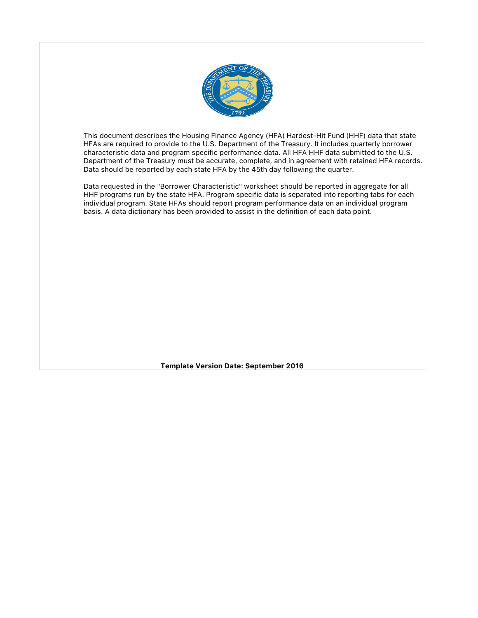

This document describes the Housing Finance Agency (HFA) Hardest-Hit Fund (HHF) data that state HFAs are required to provide to the U.S. Department of the Treasury. It includes quarterly borrower characteristic data and program specific performance data. All HFA HHF data submitted to the U.S. Department of the Treasury must be accurate, complete, and in agreement with retained HFA records. Data should be reported by each state HFA by the 45th day following the quarter.

Data requested in the "Borrower Characteristic" worksheet should be reported in aggregate for all HHF programs run by the state HFA. Program specific data is separated into reporting tabs for each individual program. State HFAs should report program performance data on an individual program basis. A data dictionary has been provided to assist in the definition of each data point.

**Template Version Date: September 2016**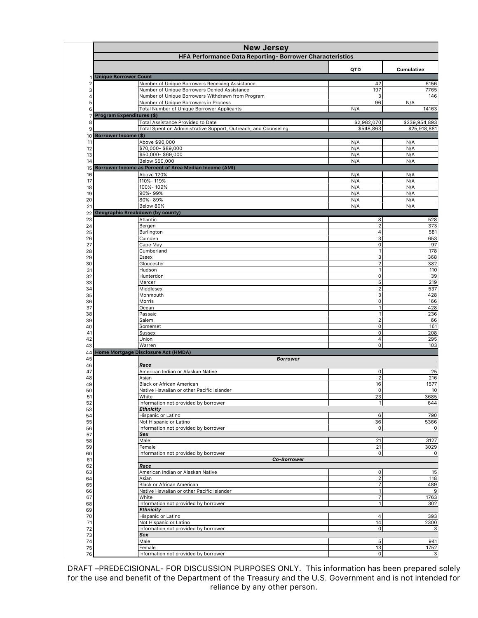|          | <b>New Jersey</b><br>HFA Performance Data Reporting- Borrower Characteristics  |                                |                     |
|----------|--------------------------------------------------------------------------------|--------------------------------|---------------------|
|          |                                                                                | QTD                            | Cumulative          |
| 1        | <b>Unique Borrower Count</b>                                                   |                                |                     |
| 2        | Number of Unique Borrowers Receiving Assistance                                | 42                             | 6156                |
| 3        | Number of Unique Borrowers Denied Assistance                                   | 197                            | 7765                |
| 4        | Number of Unique Borrowers Withdrawn from Program                              | 3                              | 146                 |
| 5        | Number of Unique Borrowers in Process                                          | 96                             | N/A                 |
| 6        | Total Number of Unique Borrower Applicants<br><b>Program Expenditures (\$)</b> | N/A                            | 14163               |
| 7<br>8   | <b>Total Assistance Provided to Date</b>                                       | \$2,982,070                    | \$239,954,893       |
| 9        | Total Spent on Administrative Support, Outreach, and Counseling                | \$548,863                      | \$25,918,881        |
| 10       | <b>Borrower Income (\$)</b>                                                    |                                |                     |
| 11       | Above \$90,000                                                                 | N/A                            | N/A                 |
| 12       | \$70,000-\$89,000                                                              | N/A                            | N/A                 |
| 13       | \$50,000-\$69,000                                                              | N/A                            | N/A                 |
| 14       | Below \$50,000<br>Borrower Income as Percent of Area Median Income (AMI)       | N/A                            | N/A                 |
| 15<br>16 | Above 120%                                                                     | N/A                            | N/A                 |
| 17       | 110%-119%                                                                      | N/A                            | N/A                 |
| 18       | 100%-109%                                                                      | N/A                            | N/A                 |
| 19       | 90%-99%                                                                        | N/A                            | N/A                 |
| 20       | 80%-89%                                                                        | N/A                            | N/A                 |
| 21       | Below 80%                                                                      | N/A                            | N/A                 |
| 22       | Geographic Breakdown (by county)                                               |                                |                     |
| 23<br>24 | Atlantic<br>Bergen                                                             | 8<br>$\overline{2}$            | 528<br>373          |
| 25       | Burlington                                                                     | $\overline{4}$                 | 581                 |
| 26       | Camden                                                                         | 3                              | 653                 |
| 27       | Cape May                                                                       | $\mathbf 0$                    | 97                  |
| 28       | Cumberland                                                                     | $\mathbf{1}$                   | 178                 |
| 29       | Essex                                                                          | 3                              | 368                 |
| 30<br>31 | Gloucester<br>Hudson                                                           | $\overline{2}$<br>$\mathbf{1}$ | 382<br>110          |
| 32       | Hunterdon                                                                      | $\mathsf{o}$                   | 39                  |
| 33       | Mercer                                                                         | 5                              | 219                 |
| 34       | Middlesex                                                                      | $\overline{2}$                 | 537                 |
| 35       | Monmouth                                                                       | 3                              | 428                 |
| 36       | Morris                                                                         | $\mathsf{O}\xspace$            | 166                 |
| 37<br>38 | Ocean<br>Passaic                                                               | $\mathbf{1}$<br>$\mathbf{1}$   | 428<br>236          |
| 39       | Salem                                                                          | $\overline{2}$                 | 66                  |
| 40       | Somerset                                                                       | $\mathsf{o}$                   | 161                 |
| 41       | <b>Sussex</b>                                                                  | $\mathsf{o}$                   | 208                 |
| 42       | Union                                                                          | $\overline{4}$                 | 295                 |
| 43       | Warren                                                                         | $\mathbf 0$                    | 103                 |
| 44       | Home Mortgage Disclosure Act (HMDA)<br><b>Borrower</b>                         |                                |                     |
| 45<br>46 | Race                                                                           |                                |                     |
| 47       | American Indian or Alaskan Native                                              | 0                              | 25                  |
| 48       | Asian                                                                          | $\overline{2}$                 | 216                 |
| 49       | <b>Black or African American</b>                                               | 16                             | 1577                |
| 50       | Native Hawaiian or other Pacific Islander                                      | $\Omega$                       | 10 <sup>1</sup>     |
| 51       | White<br>Information not provided by borrower                                  | 23<br>$\mathbf{1}$             | 3685<br>644         |
| 52<br>53 | <b>Ethnicity</b>                                                               |                                |                     |
| 54       | Hispanic or Latino                                                             | 6                              | 790                 |
| 55       | Not Hispanic or Latino                                                         | 36                             | 5366                |
| 56       | Information not provided by borrower                                           | $\mathsf{o}$                   | $\mathbf 0$         |
| 57       | Sex                                                                            |                                |                     |
| 58       | Male                                                                           | 21                             | 3127                |
| 59<br>60 | Female<br>Information not provided by borrower                                 | 21<br>$\mathsf{o}$             | 3029<br>$\mathbf 0$ |
| 61       | Co-Borrower                                                                    |                                |                     |
| 62       | Race                                                                           |                                |                     |
| 63       | American Indian or Alaskan Native                                              | 0                              | 15                  |
| 64       | Asian                                                                          | $\overline{2}$                 | 118                 |
| 65       | Black or African American<br>Native Hawaiian or other Pacific Islander         | $\overline{7}$<br>$\mathbf{1}$ | 489<br>9            |
| 66<br>67 | White                                                                          | $\overline{7}$                 | 1763                |
| 68       | Information not provided by borrower                                           | $\mathbf{1}$                   | 302                 |
| 69       | <b>Ethnicity</b>                                                               |                                |                     |
| 70       | Hispanic or Latino                                                             | $\overline{a}$                 | 393                 |
| 71       | Not Hispanic or Latino                                                         | 14                             | 2300                |
| 72       | Information not provided by borrower                                           | $\mathsf{O}\xspace$            | 3                   |
| 73<br>74 | Sex<br>Male                                                                    | 5                              | 941                 |
| 75       | Female                                                                         | 13                             | 1752                |
| 76       | Information not provided by borrower                                           | $\mathbf 0$                    | $\overline{3}$      |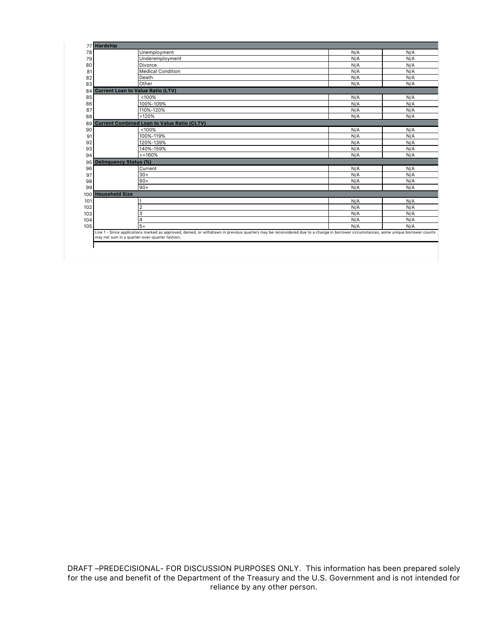|     | 77 Hardship                                                                                                                                                                                                                            |     |     |
|-----|----------------------------------------------------------------------------------------------------------------------------------------------------------------------------------------------------------------------------------------|-----|-----|
| 78  | Unemployment                                                                                                                                                                                                                           | N/A | N/A |
| 79  | Underemployment                                                                                                                                                                                                                        | N/A | N/A |
| 80  | Divorce                                                                                                                                                                                                                                | N/A | N/A |
| 81  | <b>Medical Condition</b>                                                                                                                                                                                                               | N/A | N/A |
| 82  | Death                                                                                                                                                                                                                                  | N/A | N/A |
| 83  | Other                                                                                                                                                                                                                                  | N/A | N/A |
| 84  | <b>Current Loan to Value Ratio (LTV)</b>                                                                                                                                                                                               |     |     |
| 85  | < 100%                                                                                                                                                                                                                                 | N/A | N/A |
| 86  | 100%-109%                                                                                                                                                                                                                              | N/A | N/A |
| 87  | 110%-120%                                                                                                                                                                                                                              | N/A | N/A |
| 88  | >120%                                                                                                                                                                                                                                  | N/A | N/A |
| 89  | <b>Current Combined Loan to Value Ratio (CLTV)</b>                                                                                                                                                                                     |     |     |
| 90  | < 100%                                                                                                                                                                                                                                 | N/A | N/A |
| 91  | 100%-119%                                                                                                                                                                                                                              | N/A | N/A |
| 92  | 120%-139%                                                                                                                                                                                                                              | N/A | N/A |
| 93  | 140%-159%                                                                                                                                                                                                                              | N/A | N/A |
| 94  | $>=160%$                                                                                                                                                                                                                               | N/A | N/A |
| 95  | <b>Delinquency Status (%)</b>                                                                                                                                                                                                          |     |     |
| 96  | Current                                                                                                                                                                                                                                | N/A | N/A |
| 97  | $30+$                                                                                                                                                                                                                                  | N/A | N/A |
| 98  | $60+$                                                                                                                                                                                                                                  | N/A | N/A |
| 99  | $90+$                                                                                                                                                                                                                                  | N/A | N/A |
|     | 100 Household Size                                                                                                                                                                                                                     |     |     |
| 101 | 1                                                                                                                                                                                                                                      | N/A | N/A |
| 102 | $\overline{2}$                                                                                                                                                                                                                         | N/A | N/A |
| 103 | 3                                                                                                                                                                                                                                      | N/A | N/A |
| 104 | 4                                                                                                                                                                                                                                      | N/A | N/A |
| 105 | $5+$                                                                                                                                                                                                                                   | N/A | N/A |
|     | Line 1 - Since applications marked as approved, denied, or withdrawn in previous quarters may be reconsidered due to a change in borrower circumstances, some unique borrower counts<br>may not sum in a quarter-over-quarter fashion. |     |     |
|     |                                                                                                                                                                                                                                        |     |     |
|     |                                                                                                                                                                                                                                        |     |     |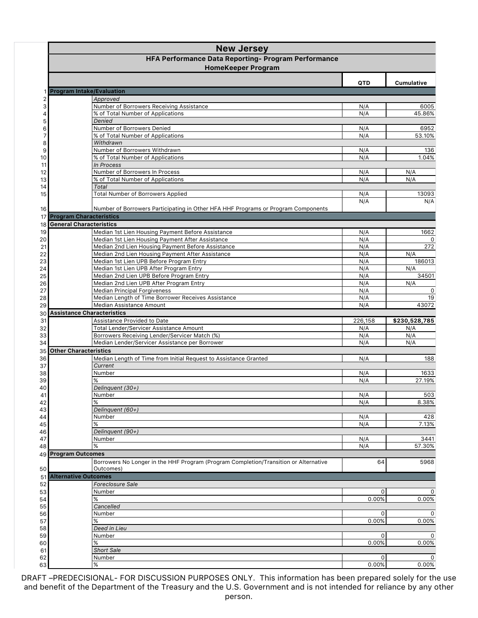|          | <b>New Jersey</b>                                                                            |                   |                      |
|----------|----------------------------------------------------------------------------------------------|-------------------|----------------------|
|          | HFA Performance Data Reporting- Program Performance                                          |                   |                      |
|          | <b>HomeKeeper Program</b>                                                                    |                   |                      |
|          |                                                                                              | QTD               | Cumulative           |
|          | <b>Program Intake/Evaluation</b>                                                             |                   |                      |
| 2        | Approved                                                                                     |                   |                      |
| 3        | Number of Borrowers Receiving Assistance                                                     | N/A               | 6005                 |
| 4<br>5   | % of Total Number of Applications<br>Denied                                                  | N/A               | 45.86%               |
| 6        | Number of Borrowers Denied                                                                   | N/A               | 6952                 |
| 7        | % of Total Number of Applications                                                            | N/A               | 53.10%               |
| 8        | Withdrawn                                                                                    |                   |                      |
| 9        | Number of Borrowers Withdrawn<br>% of Total Number of Applications                           | N/A               | 136<br>1.04%         |
| 10<br>11 | In Process                                                                                   | N/A               |                      |
| 12       | Number of Borrowers In Process                                                               | N/A               | N/A                  |
| 13       | % of Total Number of Applications                                                            | N/A               | N/A                  |
| 14       | Total                                                                                        |                   |                      |
| 15       | <b>Total Number of Borrowers Applied</b>                                                     | N/A               | 13093                |
| 16       | Number of Borrowers Participating in Other HFA HHF Programs or Program Components            | N/A               | N/A                  |
|          | 17 Program Characteristics                                                                   |                   |                      |
|          | 18 General Characteristics                                                                   |                   |                      |
| 19       | Median 1st Lien Housing Payment Before Assistance                                            | N/A               | 1662                 |
| 20       | Median 1st Lien Housing Payment After Assistance                                             | N/A               | 0                    |
| 21       | Median 2nd Lien Housing Payment Before Assistance                                            | N/A               | 272                  |
| 22       | Median 2nd Lien Housing Payment After Assistance<br>Median 1st Lien UPB Before Program Entry | N/A<br>N/A        | N/A<br>186013        |
| 23<br>24 | Median 1st Lien UPB After Program Entry                                                      | N/A               | N/A                  |
| 25       | Median 2nd Lien UPB Before Program Entry                                                     | N/A               | 34501                |
| 26       | Median 2nd Lien UPB After Program Entry                                                      | N/A               | N/A                  |
| 27       | <b>Median Principal Forgiveness</b>                                                          | N/A               | $\mathbf 0$          |
| 28       | Median Length of Time Borrower Receives Assistance                                           | N/A               | 19                   |
| 29       | Median Assistance Amount                                                                     | N/A               | 43072                |
| 30       | <b>Assistance Characteristics</b>                                                            |                   |                      |
| 31<br>32 | Assistance Provided to Date<br><b>Total Lender/Servicer Assistance Amount</b>                | 226,158<br>N/A    | \$230,528,785<br>N/A |
| 33       | Borrowers Receiving Lender/Servicer Match (%)                                                | N/A               | N/A                  |
| 34       | Median Lender/Servicer Assistance per Borrower                                               | N/A               | N/A                  |
| 35       | <b>Other Characteristics</b>                                                                 |                   |                      |
| 36       | Median Length of Time from Initial Request to Assistance Granted                             | N/A               | 188                  |
| 37       | Current                                                                                      |                   |                      |
| 38       | Number                                                                                       | N/A               | 1633                 |
| 39       | %<br>Delinguent (30+)                                                                        | N/A               | 27.19%               |
| 40<br>41 | Number                                                                                       | N/A               | 503                  |
| 42       | %                                                                                            | N/A               | 8.38%                |
| 43       | Delinquent (60+)                                                                             |                   |                      |
| 44       | Number                                                                                       | N/A               | 428                  |
| 45       | %                                                                                            | N/A               | 7.13%                |
| 46       | Delinquent (90+)                                                                             |                   | 3441                 |
| 47<br>48 | Number<br>%                                                                                  | N/A<br>N/A        | 57.30%               |
|          | 49 Program Outcomes                                                                          |                   |                      |
|          | Borrowers No Longer in the HHF Program (Program Completion/Transition or Alternative         | 64                | 5968                 |
| 50       | Outcomes)                                                                                    |                   |                      |
| 51       | <b>Alternative Outcomes</b>                                                                  |                   |                      |
| 52       | Foreclosure Sale                                                                             |                   |                      |
| 53       | Number<br>%                                                                                  | $\Omega$<br>0.00% | $\mathbf{0}$         |
| 54<br>55 | Cancelled                                                                                    |                   | 0.00%                |
| 56       | Number                                                                                       | 0                 | $\mathbf{0}$         |
| 57       | %                                                                                            | 0.00%             | 0.00%                |
| 58       | Deed in Lieu                                                                                 |                   |                      |
| 59       | Number                                                                                       | 0                 | $\Omega$             |
| 60       | ℅<br><b>Short Sale</b>                                                                       | 0.00%             | 0.00%                |
| 61<br>62 | Number                                                                                       | $\Omega$          | $\mathbf{0}$         |
| 63       | $\%$                                                                                         | 0.00%             | 0.00%                |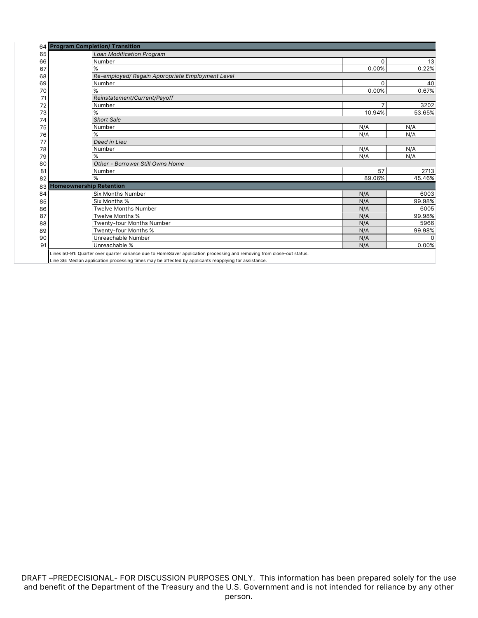|      | 64 Program Completion/ Transition                |          |          |
|------|--------------------------------------------------|----------|----------|
| 65   | Loan Modification Program                        |          |          |
| 66   | Number                                           | 0        | 13       |
| 67   | %                                                | 0.00%    | 0.22%    |
| 68   | Re-employed/ Regain Appropriate Employment Level |          |          |
| 69   | Number                                           | $\Omega$ | 40       |
| 70   | $\%$                                             | 0.00%    | 0.67%    |
| 71   | Reinstatement/Current/Payoff                     |          |          |
| 72   | Number                                           |          | 3202     |
| 73   | %                                                | 10.94%   | 53.65%   |
| 74   | <b>Short Sale</b>                                |          |          |
| 75   | Number                                           | N/A      | N/A      |
| 76   | %                                                | N/A      | N/A      |
| 77   | Deed in Lieu                                     |          |          |
| 78   | Number                                           | N/A      | N/A      |
| 79   | $\%$                                             | N/A      | N/A      |
| 80   | Other - Borrower Still Owns Home                 |          |          |
| 81   | Number                                           | 57       | 2713     |
| 82   | %                                                | 89.06%   | 45.46%   |
| 83 I | <b>Homeownership Retention</b>                   |          |          |
| 84   | <b>Six Months Number</b>                         | N/A      | 6003     |
| 85   | Six Months %                                     | N/A      | 99.98%   |
| 86   | <b>Twelve Months Number</b>                      | N/A      | 6005     |
| 87   | Twelve Months %                                  | N/A      | 99.98%   |
| 88   | Twenty-four Months Number                        | N/A      | 5966     |
| 89   | Twenty-four Months %                             | N/A      | 99.98%   |
| 90   | Unreachable Number                               | N/A      | $\Omega$ |
| 91   | Unreachable %                                    | N/A      | 0.00%    |

Lines 50-91: Quarter over quarter variance due to HomeSaver application processing and removing from close-out status.

Line 36: Median application processing times may be affected by applicants reapplying for assistance.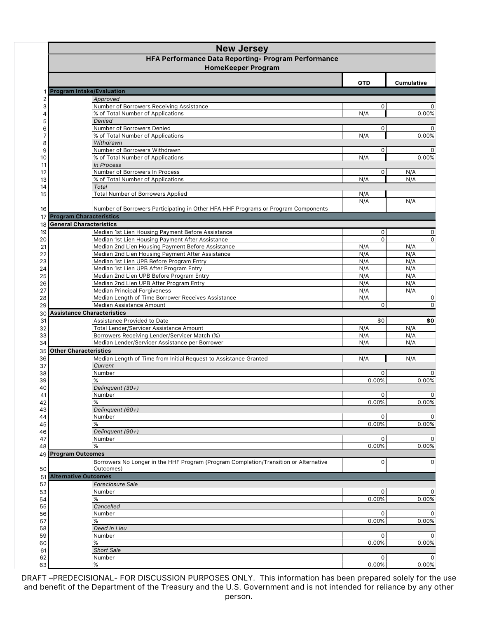|          | <b>New Jersey</b>                                                                                     |                      |                            |  |
|----------|-------------------------------------------------------------------------------------------------------|----------------------|----------------------------|--|
|          | HFA Performance Data Reporting- Program Performance                                                   |                      |                            |  |
|          | <b>HomeKeeper Program</b>                                                                             |                      |                            |  |
|          |                                                                                                       | QTD                  | <b>Cumulative</b>          |  |
|          | <b>Program Intake/Evaluation</b>                                                                      |                      |                            |  |
| 2        | Approved                                                                                              |                      |                            |  |
| 3        | Number of Borrowers Receiving Assistance                                                              | $\Omega$             | $\Omega$                   |  |
| 4<br>5   | % of Total Number of Applications<br>Denied                                                           | N/A                  | 0.00%                      |  |
| 6        | Number of Borrowers Denied                                                                            | 0                    | 0                          |  |
| 7        | % of Total Number of Applications                                                                     | N/A                  | 0.00%                      |  |
| 8        | Withdrawn                                                                                             |                      |                            |  |
| 9<br>10  | Number of Borrowers Withdrawn<br>% of Total Number of Applications                                    | $\Omega$<br>N/A      | 0<br>0.00%                 |  |
| 11       | In Process                                                                                            |                      |                            |  |
| 12       | Number of Borrowers In Process                                                                        | $\Omega$             | N/A                        |  |
| 13       | % of Total Number of Applications                                                                     | N/A                  | N/A                        |  |
| 14       | Total                                                                                                 |                      |                            |  |
| 15       | <b>Total Number of Borrowers Applied</b>                                                              | N/A<br>N/A           | N/A                        |  |
| 16       | Number of Borrowers Participating in Other HFA HHF Programs or Program Components                     |                      |                            |  |
| 17       | <b>Program Characteristics</b>                                                                        |                      |                            |  |
|          | 18 General Characteristics                                                                            |                      |                            |  |
| 19       | Median 1st Lien Housing Payment Before Assistance                                                     | 0                    | 0                          |  |
| 20       | Median 1st Lien Housing Payment After Assistance                                                      | $\Omega$             | 0                          |  |
| 21<br>22 | Median 2nd Lien Housing Payment Before Assistance<br>Median 2nd Lien Housing Payment After Assistance | N/A<br>N/A           | N/A<br>N/A                 |  |
| 23       | Median 1st Lien UPB Before Program Entry                                                              | N/A                  | N/A                        |  |
| 24       | Median 1st Lien UPB After Program Entry                                                               | N/A                  | N/A                        |  |
| 25       | Median 2nd Lien UPB Before Program Entry                                                              | N/A                  | N/A                        |  |
| 26       | Median 2nd Lien UPB After Program Entry                                                               | N/A                  | N/A                        |  |
| 27       | <b>Median Principal Forgiveness</b>                                                                   | N/A                  | N/A                        |  |
| 28<br>29 | Median Length of Time Borrower Receives Assistance<br>Median Assistance Amount                        | N/A<br>$\Omega$      | $\mathbf 0$<br>$\mathbf 0$ |  |
| 30       | <b>Assistance Characteristics</b>                                                                     |                      |                            |  |
| 31       | Assistance Provided to Date                                                                           | \$0                  | \$0                        |  |
| 32       | Total Lender/Servicer Assistance Amount                                                               | N/A                  | N/A                        |  |
| 33       | Borrowers Receiving Lender/Servicer Match (%)                                                         | N/A                  | N/A                        |  |
| 34       | Median Lender/Servicer Assistance per Borrower                                                        | N/A                  | N/A                        |  |
| 35       | <b>Other Characteristics</b>                                                                          |                      |                            |  |
| 36<br>37 | Median Length of Time from Initial Request to Assistance Granted<br>Current                           | N/A                  | N/A                        |  |
| 38       | Number                                                                                                | 0                    | 0                          |  |
| 39       | %                                                                                                     | 0.00%                | 0.00%                      |  |
| 40       | Delinquent (30+)                                                                                      |                      |                            |  |
| 41       | Number                                                                                                | 0                    |                            |  |
| 42       | %                                                                                                     | 0.00%                | 0.00%                      |  |
| 43<br>44 | Delinquent (60+)<br>Number                                                                            | $\mathbf 0$          | 0                          |  |
| 45       | %                                                                                                     | 0.00%                | 0.00%                      |  |
| 46       | Delinquent (90+)                                                                                      |                      |                            |  |
| 47       | Number                                                                                                | $\mathbf 0$          | $\Omega$                   |  |
| 48       | ℅                                                                                                     | 0.00%                | 0.00%                      |  |
|          | 49 Program Outcomes                                                                                   |                      |                            |  |
| 50       | Borrowers No Longer in the HHF Program (Program Completion/Transition or Alternative<br>Outcomes)     | 0                    | $\mathbf{0}$               |  |
| 51       | <b>Alternative Outcomes</b>                                                                           |                      |                            |  |
| 52       | Foreclosure Sale                                                                                      |                      |                            |  |
| 53       | Number                                                                                                | 0                    | 0                          |  |
| 54       | ℅                                                                                                     | 0.00%                | 0.00%                      |  |
| 55       | Cancelled                                                                                             |                      |                            |  |
| 56       | Number<br>%                                                                                           | $\mathbf 0$<br>0.00% | $\Omega$                   |  |
| 57<br>58 | Deed in Lieu                                                                                          |                      | 0.00%                      |  |
| 59       | Number                                                                                                | 0                    | 0                          |  |
| 60       | ℅                                                                                                     | 0.00%                | 0.00%                      |  |
| 61       | <b>Short Sale</b>                                                                                     |                      |                            |  |
| 62       | Number                                                                                                | $\Omega$             | 0                          |  |
| 63       | ℅                                                                                                     | 0.00%                | 0.00%                      |  |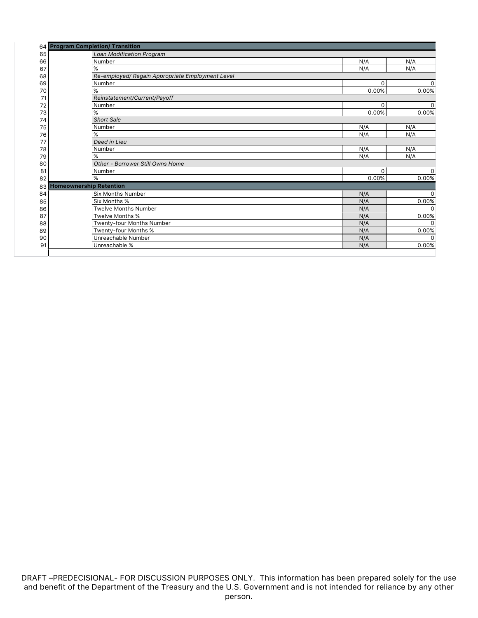|    | 64 Program Completion/ Transition                |          |             |
|----|--------------------------------------------------|----------|-------------|
| 65 | Loan Modification Program                        |          |             |
| 66 | Number                                           | N/A      | N/A         |
| 67 | %                                                | N/A      | N/A         |
| 68 | Re-employed/ Regain Appropriate Employment Level |          |             |
| 69 | Number                                           | $\Omega$ | 0           |
| 70 | %                                                | 0.00%    | 0.00%       |
| 71 | Reinstatement/Current/Payoff                     |          |             |
| 72 | Number                                           | $\Omega$ | $\Omega$    |
| 73 | %                                                | 0.00%    | 0.00%       |
| 74 | <b>Short Sale</b>                                |          |             |
| 75 | Number                                           | N/A      | N/A         |
| 76 | %                                                | N/A      | N/A         |
| 77 | Deed in Lieu                                     |          |             |
| 78 | Number                                           | N/A      | N/A         |
| 79 | %                                                | N/A      | N/A         |
| 80 | Other - Borrower Still Owns Home                 |          |             |
| 81 | Number                                           | $\Omega$ | 0           |
| 82 | %                                                | 0.00%    | 0.00%       |
| 83 | <b>Homeownership Retention</b>                   |          |             |
| 84 | <b>Six Months Number</b>                         | N/A      | $\mathbf 0$ |
| 85 | Six Months %                                     | N/A      | 0.00%       |
| 86 | <b>Twelve Months Number</b>                      | N/A      | U           |
| 87 | Twelve Months %                                  | N/A      | 0.00%       |
| 88 | Twenty-four Months Number                        | N/A      | $\Omega$    |
| 89 | Twenty-four Months %                             | N/A      | 0.00%       |
| 90 | Unreachable Number                               | N/A      | $\Omega$    |
| 91 | Unreachable %                                    | N/A      | 0.00%       |
|    |                                                  |          |             |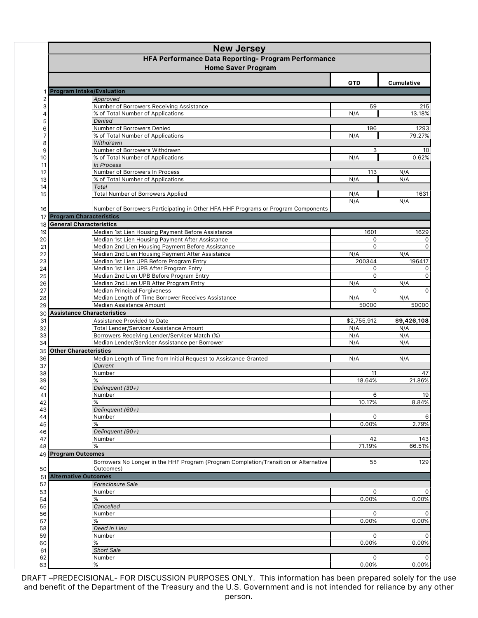|                         | <b>New Jersey</b>                                                                         |              |                   |  |  |
|-------------------------|-------------------------------------------------------------------------------------------|--------------|-------------------|--|--|
|                         | HFA Performance Data Reporting- Program Performance                                       |              |                   |  |  |
|                         | <b>Home Saver Program</b>                                                                 |              |                   |  |  |
|                         |                                                                                           | QTD          | <b>Cumulative</b> |  |  |
|                         | <b>Program Intake/Evaluation</b>                                                          |              |                   |  |  |
| $\overline{\mathbf{c}}$ | Approved                                                                                  |              |                   |  |  |
| 3                       | Number of Borrowers Receiving Assistance                                                  | 59           | 215               |  |  |
| 4<br>5                  | % of Total Number of Applications<br>Denied                                               | N/A          | 13.18%            |  |  |
| 6                       | Number of Borrowers Denied                                                                | 196          | 1293              |  |  |
| 7                       | % of Total Number of Applications                                                         | N/A          | 79.27%            |  |  |
| 8                       | Withdrawn                                                                                 |              |                   |  |  |
| 9                       | Number of Borrowers Withdrawn                                                             | 3            | 10                |  |  |
| 10                      | % of Total Number of Applications<br>In Process                                           | N/A          | 0.62%             |  |  |
| 11<br>12                | Number of Borrowers In Process                                                            | 113          | N/A               |  |  |
| 13                      | % of Total Number of Applications                                                         | N/A          | N/A               |  |  |
| 14                      | <b>Total</b>                                                                              |              |                   |  |  |
| 15                      | <b>Total Number of Borrowers Applied</b>                                                  | N/A          | 1631              |  |  |
|                         |                                                                                           | N/A          | N/A               |  |  |
| 16                      | Number of Borrowers Participating in Other HFA HHF Programs or Program Components         |              |                   |  |  |
|                         | 17 Program Characteristics<br>18 General Characteristics                                  |              |                   |  |  |
|                         | Median 1st Lien Housing Payment Before Assistance                                         | 1601         |                   |  |  |
| 19<br>20                | Median 1st Lien Housing Payment After Assistance                                          | 0            | 1629<br>0         |  |  |
| 21                      | Median 2nd Lien Housing Payment Before Assistance                                         | $\Omega$     | $\Omega$          |  |  |
| 22                      | Median 2nd Lien Housing Payment After Assistance                                          | N/A          | N/A               |  |  |
| 23                      | Median 1st Lien UPB Before Program Entry                                                  | 200344       | 196417            |  |  |
| 24                      | Median 1st Lien UPB After Program Entry                                                   | 0            | 0                 |  |  |
| 25                      | Median 2nd Lien UPB Before Program Entry                                                  | $\Omega$     | $\mathbf 0$       |  |  |
| 26                      | Median 2nd Lien UPB After Program Entry                                                   | N/A          | N/A               |  |  |
| 27                      | <b>Median Principal Forgiveness</b><br>Median Length of Time Borrower Receives Assistance | $\Omega$     | $\Omega$          |  |  |
| 28<br>29                | Median Assistance Amount                                                                  | N/A<br>50000 | N/A<br>50000      |  |  |
|                         | 30 Assistance Characteristics                                                             |              |                   |  |  |
| 31                      | Assistance Provided to Date                                                               | \$2,755,912  | \$9,426,108       |  |  |
| 32                      | Total Lender/Servicer Assistance Amount                                                   | N/A          | N/A               |  |  |
| 33                      | Borrowers Receiving Lender/Servicer Match (%)                                             | N/A          | N/A               |  |  |
| 34                      | Median Lender/Servicer Assistance per Borrower                                            | N/A          | N/A               |  |  |
| 35                      | <b>Other Characteristics</b>                                                              |              |                   |  |  |
| 36                      | Median Length of Time from Initial Request to Assistance Granted                          | N/A          | N/A               |  |  |
| 37<br>38                | Current<br>Number                                                                         | 11           | 47                |  |  |
| 39                      | %                                                                                         | 18.64%       | 21.86%            |  |  |
| 40                      | Delinquent (30+)                                                                          |              |                   |  |  |
| 41                      | Number                                                                                    | 6            | 19                |  |  |
| 42                      | %                                                                                         | 10.17%       | 8.84%             |  |  |
| 43                      | Delinquent (60+)                                                                          |              |                   |  |  |
| 44                      | Number                                                                                    | 0            | 6                 |  |  |
| 45                      | ℅                                                                                         | 0.00%        | 2.79%             |  |  |
| 46                      | Delinquent (90+)<br>Number                                                                | 42           | 143               |  |  |
| 47<br>48                | %                                                                                         | 71.19%       | 66.51%            |  |  |
|                         | 49 Program Outcomes                                                                       |              |                   |  |  |
|                         | Borrowers No Longer in the HHF Program (Program Completion/Transition or Alternative      | 55           | 129               |  |  |
| 50                      | Outcomes)                                                                                 |              |                   |  |  |
|                         | <b>51 Alternative Outcomes</b>                                                            |              |                   |  |  |
| 52                      | Foreclosure Sale                                                                          |              |                   |  |  |
| 53                      | Number                                                                                    | 0            | $\Omega$          |  |  |
| 54                      | ℅                                                                                         | 0.00%        | 0.00%             |  |  |
| 55<br>56                | Cancelled                                                                                 | 0            | $\Omega$          |  |  |
| 57                      | Number<br>%                                                                               | 0.00%        | 0.00%             |  |  |
| 58                      | Deed in Lieu                                                                              |              |                   |  |  |
| 59                      | Number                                                                                    | 0            |                   |  |  |
| 60                      | ℅                                                                                         | 0.00%        | 0.00%             |  |  |
| 61                      | <b>Short Sale</b>                                                                         |              |                   |  |  |
| 62                      | Number                                                                                    | 0            | $\Omega$          |  |  |
| 63                      | %                                                                                         | 0.00%        | 0.00%             |  |  |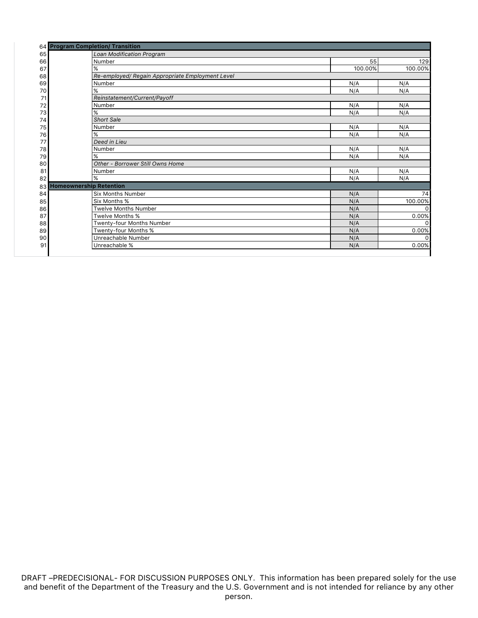|    | 64 Program Completion/ Transition                |         |              |
|----|--------------------------------------------------|---------|--------------|
| 65 | <b>Loan Modification Program</b>                 |         |              |
| 66 | Number                                           | 55      | 129          |
| 67 | %                                                | 100.00% | 100.00%      |
| 68 | Re-employed/ Regain Appropriate Employment Level |         |              |
| 69 | Number                                           | N/A     | N/A          |
| 70 | %                                                | N/A     | N/A          |
| 71 | Reinstatement/Current/Payoff                     |         |              |
| 72 | Number                                           | N/A     | N/A          |
| 73 | $\%$                                             | N/A     | N/A          |
| 74 | <b>Short Sale</b>                                |         |              |
| 75 | Number                                           | N/A     | N/A          |
| 76 | %                                                | N/A     | N/A          |
| 77 | Deed in Lieu                                     |         |              |
| 78 | Number                                           | N/A     | N/A          |
| 79 | %                                                | N/A     | N/A          |
| 80 | Other - Borrower Still Owns Home                 |         |              |
| 81 | Number                                           | N/A     | N/A          |
| 82 | %                                                | N/A     | N/A          |
| 83 | <b>Homeownership Retention</b>                   |         |              |
| 84 | <b>Six Months Number</b>                         | N/A     | 74           |
| 85 | Six Months %                                     | N/A     | 100.00%      |
| 86 | <b>Twelve Months Number</b>                      | N/A     | $\Omega$     |
| 87 | Twelve Months %                                  | N/A     | 0.00%        |
| 88 | Twenty-four Months Number                        | N/A     | <sup>0</sup> |
| 89 | Twenty-four Months %                             | N/A     | 0.00%        |
| 90 | Unreachable Number                               | N/A     | U            |
| 91 | Unreachable %                                    | N/A     | 0.00%        |
|    |                                                  |         |              |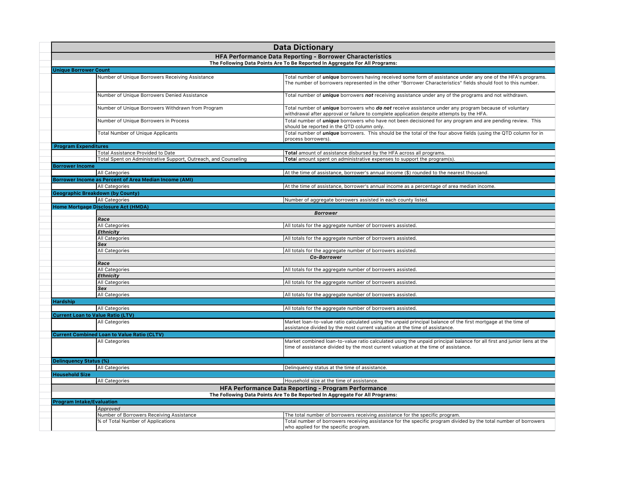|                        | <b>Data Dictionary</b>                                                      |                                                                                                                                                                                                                                        |  |  |
|------------------------|-----------------------------------------------------------------------------|----------------------------------------------------------------------------------------------------------------------------------------------------------------------------------------------------------------------------------------|--|--|
|                        |                                                                             | <b>HFA Performance Data Reporting - Borrower Characteristics</b>                                                                                                                                                                       |  |  |
|                        | The Following Data Points Are To Be Reported In Aggregate For All Programs: |                                                                                                                                                                                                                                        |  |  |
|                        | <b>Unique Borrower Count</b>                                                |                                                                                                                                                                                                                                        |  |  |
|                        | Number of Unique Borrowers Receiving Assistance                             | Total number of <i>unique</i> borrowers having received some form of assistance under any one of the HFA's programs.<br>The number of borrowers represented in the other "Borrower Characteristics" fields should foot to this number. |  |  |
|                        | Number of Unique Borrowers Denied Assistance                                | Total number of <i>unique</i> borrowers not receiving assistance under any of the programs and not withdrawn.                                                                                                                          |  |  |
|                        | Number of Unique Borrowers Withdrawn from Program                           | Total number of <i>unique</i> borrowers who do not receive assistance under any program because of voluntary<br>withdrawal after approval or failure to complete application despite attempts by the HFA.                              |  |  |
|                        | Number of Unique Borrowers in Process                                       | Total number of <i>unique</i> borrowers who have not been decisioned for any program and are pending review. This<br>should be reported in the QTD column only.                                                                        |  |  |
|                        | <b>Total Number of Unique Applicants</b>                                    | Total number of <i>unique</i> borrowers. This should be the total of the four above fields (using the QTD column for in<br>process borrowers).                                                                                         |  |  |
|                        | <b>Program Expenditures</b>                                                 |                                                                                                                                                                                                                                        |  |  |
|                        | Total Assistance Provided to Date                                           | Total amount of assistance disbursed by the HFA across all programs.                                                                                                                                                                   |  |  |
|                        | Total Spent on Administrative Support, Outreach, and Counseling             | Total amount spent on administrative expenses to support the program(s).                                                                                                                                                               |  |  |
| <b>Borrower Income</b> |                                                                             |                                                                                                                                                                                                                                        |  |  |
|                        | <b>All Categories</b>                                                       | At the time of assistance, borrower's annual income (\$) rounded to the nearest thousand.                                                                                                                                              |  |  |
|                        | Borrower Income as Percent of Area Median Income (AMI)                      |                                                                                                                                                                                                                                        |  |  |
|                        | All Categories                                                              | At the time of assistance, borrower's annual income as a percentage of area median income.                                                                                                                                             |  |  |
|                        | Geographic Breakdown (by County)                                            |                                                                                                                                                                                                                                        |  |  |
|                        | All Categories                                                              | Number of aggregate borrowers assisted in each county listed.                                                                                                                                                                          |  |  |
|                        | Home Mortgage Disclosure Act (HMDA)                                         |                                                                                                                                                                                                                                        |  |  |
|                        |                                                                             | <b>Borrower</b>                                                                                                                                                                                                                        |  |  |
|                        | Race<br>All Categories                                                      | All totals for the aggregate number of borrowers assisted.                                                                                                                                                                             |  |  |
|                        | <b>Ethnicity</b>                                                            |                                                                                                                                                                                                                                        |  |  |
|                        | All Categories                                                              | All totals for the aggregate number of borrowers assisted.                                                                                                                                                                             |  |  |
|                        | Sex                                                                         |                                                                                                                                                                                                                                        |  |  |
|                        | All Categories                                                              | All totals for the aggregate number of borrowers assisted.                                                                                                                                                                             |  |  |
|                        |                                                                             | Co-Borrower                                                                                                                                                                                                                            |  |  |
|                        | Race                                                                        |                                                                                                                                                                                                                                        |  |  |
|                        | All Categories                                                              | All totals for the aggregate number of borrowers assisted.                                                                                                                                                                             |  |  |
|                        | Ethnicity                                                                   |                                                                                                                                                                                                                                        |  |  |
|                        | All Categories                                                              | All totals for the aggregate number of borrowers assisted.                                                                                                                                                                             |  |  |
|                        | Sex                                                                         |                                                                                                                                                                                                                                        |  |  |
|                        | All Categories                                                              | All totals for the aggregate number of borrowers assisted.                                                                                                                                                                             |  |  |
| <b>Hardship</b>        |                                                                             |                                                                                                                                                                                                                                        |  |  |
|                        | All Categories                                                              | All totals for the aggregate number of borrowers assisted.                                                                                                                                                                             |  |  |
|                        | <b>Current Loan to Value Ratio (LTV)</b>                                    |                                                                                                                                                                                                                                        |  |  |
|                        | All Categories                                                              | Market loan-to-value ratio calculated using the unpaid principal balance of the first mortgage at the time of<br>assistance divided by the most current valuation at the time of assistance.                                           |  |  |
|                        | <b>Current Combined Loan to Value Ratio (CLTV)</b>                          |                                                                                                                                                                                                                                        |  |  |
|                        | All Categories                                                              | Market combined loan-to-value ratio calculated using the unpaid principal balance for all first and junior liens at the<br>time of assistance divided by the most current valuation at the time of assistance.                         |  |  |
|                        | Delinquency Status (%)                                                      |                                                                                                                                                                                                                                        |  |  |
|                        | All Categories                                                              | Delinquency status at the time of assistance.                                                                                                                                                                                          |  |  |
| <b>Household Size</b>  |                                                                             |                                                                                                                                                                                                                                        |  |  |
|                        | All Categories                                                              | Household size at the time of assistance.                                                                                                                                                                                              |  |  |
|                        |                                                                             | HFA Performance Data Reporting - Program Performance                                                                                                                                                                                   |  |  |
|                        |                                                                             | The Following Data Points Are To Be Reported In Aggregate For All Programs:                                                                                                                                                            |  |  |
|                        | <b>Program Intake/Evaluation</b>                                            |                                                                                                                                                                                                                                        |  |  |
|                        | Approved                                                                    |                                                                                                                                                                                                                                        |  |  |
|                        | Number of Borrowers Receiving Assistance                                    | The total number of borrowers receiving assistance for the specific program.                                                                                                                                                           |  |  |
|                        | % of Total Number of Applications                                           | Total number of borrowers receiving assistance for the specific program divided by the total number of borrowers<br>who applied for the specific program.                                                                              |  |  |
|                        |                                                                             |                                                                                                                                                                                                                                        |  |  |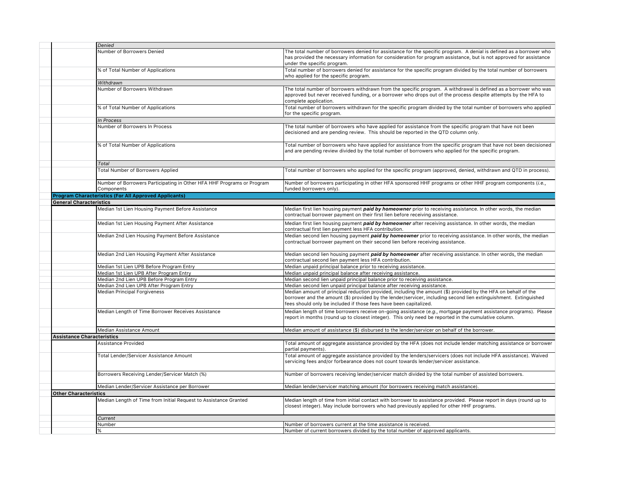| Denied                                                                               |                                                                                                                                                                                                                                                                                                        |
|--------------------------------------------------------------------------------------|--------------------------------------------------------------------------------------------------------------------------------------------------------------------------------------------------------------------------------------------------------------------------------------------------------|
| Number of Borrowers Denied                                                           | The total number of borrowers denied for assistance for the specific program. A denial is defined as a borrower who<br>has provided the necessary information for consideration for program assistance, but is not approved for assistance<br>under the specific program.                              |
| % of Total Number of Applications                                                    | Total number of borrowers denied for assistance for the specific program divided by the total number of borrowers<br>who applied for the specific program.                                                                                                                                             |
| Withdrawn                                                                            |                                                                                                                                                                                                                                                                                                        |
| Number of Borrowers Withdrawn                                                        | The total number of borrowers withdrawn from the specific program. A withdrawal is defined as a borrower who was<br>approved but never received funding, or a borrower who drops out of the process despite attempts by the HFA to<br>complete application.                                            |
| % of Total Number of Applications                                                    | Total number of borrowers withdrawn for the specific program divided by the total number of borrowers who applied<br>for the specific program.                                                                                                                                                         |
| In Process                                                                           |                                                                                                                                                                                                                                                                                                        |
| Number of Borrowers In Process                                                       | The total number of borrowers who have applied for assistance from the specific program that have not been<br>decisioned and are pending review. This should be reported in the QTD column only.                                                                                                       |
| % of Total Number of Applications                                                    | Total number of borrowers who have applied for assistance from the specific program that have not been decisioned<br>and are pending review divided by the total number of borrowers who applied for the specific program.                                                                             |
| Total                                                                                |                                                                                                                                                                                                                                                                                                        |
| <b>Total Number of Borrowers Applied</b>                                             | Total number of borrowers who applied for the specific program (approved, denied, withdrawn and QTD in process).                                                                                                                                                                                       |
| Number of Borrowers Participating in Other HFA HHF Programs or Program<br>Components | Number of borrowers participating in other HFA sponsored HHF programs or other HHF program components (i.e.,<br>funded borrowers only).                                                                                                                                                                |
| <b>Program Characteristics (For All Approved Applicants)</b>                         |                                                                                                                                                                                                                                                                                                        |
| <b>General Characteristics</b>                                                       |                                                                                                                                                                                                                                                                                                        |
| Median 1st Lien Housing Payment Before Assistance                                    | Median first lien housing payment paid by homeowner prior to receiving assistance. In other words, the median<br>contractual borrower payment on their first lien before receiving assistance.                                                                                                         |
| Median 1st Lien Housing Payment After Assistance                                     | Median first lien housing payment paid by homeowner after receiving assistance. In other words, the median<br>contractual first lien payment less HFA contribution.                                                                                                                                    |
| Median 2nd Lien Housing Payment Before Assistance                                    | Median second lien housing payment paid by homeowner prior to receiving assistance. In other words, the median<br>contractual borrower payment on their second lien before receiving assistance.                                                                                                       |
| Median 2nd Lien Housing Payment After Assistance                                     | Median second lien housing payment paid by homeowner after receiving assistance. In other words, the median<br>contractual second lien payment less HFA contribution.                                                                                                                                  |
| Median 1st Lien UPB Before Program Entry                                             | Median unpaid principal balance prior to receiving assistance.                                                                                                                                                                                                                                         |
| Median 1st Lien UPB After Program Entry                                              | Median unpaid principal balance after receiving assistance.                                                                                                                                                                                                                                            |
| Median 2nd Lien UPB Before Program Entry                                             | Median second lien unpaid principal balance prior to receiving assistance.                                                                                                                                                                                                                             |
| Median 2nd Lien UPB After Program Entry                                              | Median second lien unpaid principal balance after receiving assistance.                                                                                                                                                                                                                                |
| <b>Median Principal Forgiveness</b>                                                  | Median amount of principal reduction provided, including the amount (\$) provided by the HFA on behalf of the<br>borrower and the amount (\$) provided by the lender/servicer, including second lien extinguishment. Extinguished<br>fees should only be included if those fees have been capitalized. |
| Median Length of Time Borrower Receives Assistance                                   | Median length of time borrowers receive on-going assistance (e.g., mortgage payment assistance programs). Please<br>report in months (round up to closest integer). This only need be reported in the cumulative column.                                                                               |
| Median Assistance Amount                                                             | Median amount of assistance (\$) disbursed to the lender/servicer on behalf of the borrower.                                                                                                                                                                                                           |
| Assistance Characteristics                                                           |                                                                                                                                                                                                                                                                                                        |
| Assistance Provided                                                                  | Total amount of aggregate assistance provided by the HFA (does not include lender matching assistance or borrower<br>partial payments).                                                                                                                                                                |
| Total Lender/Servicer Assistance Amount                                              | Total amount of aggregate assistance provided by the lenders/servicers (does not include HFA assistance). Waived<br>servicing fees and/or forbearance does not count towards lender/servicer assistance.                                                                                               |
| Borrowers Receiving Lender/Servicer Match (%)                                        | Number of borrowers receiving lender/servicer match divided by the total number of assisted borrowers.                                                                                                                                                                                                 |
| Median Lender/Servicer Assistance per Borrower                                       | Median lender/servicer matching amount (for borrowers receiving match assistance).                                                                                                                                                                                                                     |
| <b>Other Characteristics</b>                                                         |                                                                                                                                                                                                                                                                                                        |
| Median Length of Time from Initial Request to Assistance Granted                     | Median length of time from initial contact with borrower to assistance provided. Please report in days (round up to<br>closest integer). May include borrowers who had previously applied for other HHF programs.                                                                                      |
| Current                                                                              |                                                                                                                                                                                                                                                                                                        |
| Number                                                                               | Number of borrowers current at the time assistance is received.                                                                                                                                                                                                                                        |
| %                                                                                    | Number of current borrowers divided by the total number of approved applicants.                                                                                                                                                                                                                        |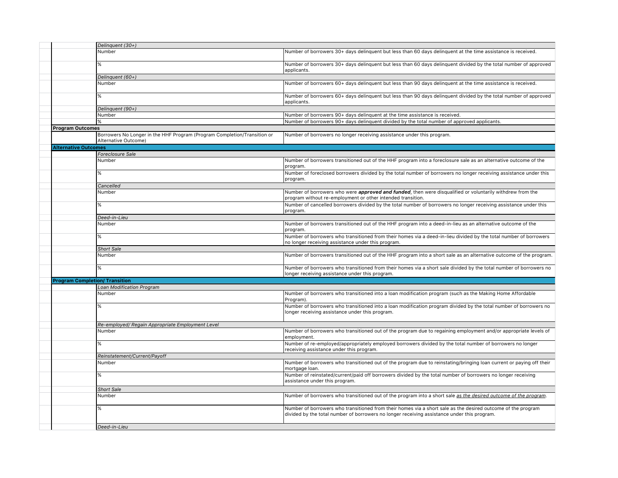|                             | Delinquent (30+)                                                                                 |                                                                                                                                                                                                             |
|-----------------------------|--------------------------------------------------------------------------------------------------|-------------------------------------------------------------------------------------------------------------------------------------------------------------------------------------------------------------|
|                             | Number                                                                                           | Number of borrowers 30+ days delinquent but less than 60 days delinquent at the time assistance is received.                                                                                                |
|                             | %                                                                                                | Number of borrowers 30+ days delinguent but less than 60 days delinguent divided by the total number of approved<br>applicants.                                                                             |
|                             | Delinquent (60+)                                                                                 |                                                                                                                                                                                                             |
|                             | Number                                                                                           | Number of borrowers 60+ days delinguent but less than 90 days delinguent at the time assistance is received.                                                                                                |
|                             | %                                                                                                | Number of borrowers 60+ days delinguent but less than 90 days delinguent divided by the total number of approved<br>applicants.                                                                             |
|                             | Delinquent (90+)                                                                                 |                                                                                                                                                                                                             |
|                             | Number                                                                                           | Number of borrowers 90+ days delinquent at the time assistance is received.                                                                                                                                 |
|                             |                                                                                                  | Number of borrowers 90+ days delinquent divided by the total number of approved applicants.                                                                                                                 |
| <b>Program Outcomes</b>     |                                                                                                  |                                                                                                                                                                                                             |
|                             | Borrowers No Longer in the HHF Program (Program Completion/Transition or<br>Alternative Outcome) | Number of borrowers no longer receiving assistance under this program.                                                                                                                                      |
| <b>Alternative Outcomes</b> |                                                                                                  |                                                                                                                                                                                                             |
|                             | Foreclosure Sale                                                                                 |                                                                                                                                                                                                             |
|                             | Number                                                                                           | Number of borrowers transitioned out of the HHF program into a foreclosure sale as an alternative outcome of the<br>program.                                                                                |
|                             | %                                                                                                | Number of foreclosed borrowers divided by the total number of borrowers no longer receiving assistance under this<br>program.                                                                               |
|                             | Cancelled                                                                                        |                                                                                                                                                                                                             |
|                             | Number                                                                                           | Number of borrowers who were <i>approved and funded</i> , then were disqualified or voluntarily withdrew from the<br>program without re-employment or other intended transition.                            |
|                             | %                                                                                                | Number of cancelled borrowers divided by the total number of borrowers no longer receiving assistance under this<br>program.                                                                                |
|                             | Deed-in-Lieu                                                                                     |                                                                                                                                                                                                             |
|                             | Number                                                                                           | Number of borrowers transitioned out of the HHF program into a deed-in-lieu as an alternative outcome of the<br>program.                                                                                    |
|                             | %                                                                                                | Number of borrowers who transitioned from their homes via a deed-in-lieu divided by the total number of borrowers<br>no longer receiving assistance under this program.                                     |
|                             | <b>Short Sale</b>                                                                                |                                                                                                                                                                                                             |
|                             | Number                                                                                           | Number of borrowers transitioned out of the HHF program into a short sale as an alternative outcome of the program.                                                                                         |
|                             | %                                                                                                | Number of borrowers who transitioned from their homes via a short sale divided by the total number of borrowers no<br>longer receiving assistance under this program.                                       |
|                             | <b>Program Completion/ Transition</b>                                                            |                                                                                                                                                                                                             |
|                             | <b>Loan Modification Program</b>                                                                 |                                                                                                                                                                                                             |
|                             | Number                                                                                           | Number of borrowers who transitioned into a loan modification program (such as the Making Home Affordable<br>Program).                                                                                      |
|                             | %                                                                                                | Number of borrowers who transitioned into a loan modification program divided by the total number of borrowers no<br>longer receiving assistance under this program.                                        |
|                             | Re-employed/ Regain Appropriate Employment Level                                                 |                                                                                                                                                                                                             |
|                             | Number                                                                                           | Number of borrowers who transitioned out of the program due to regaining employment and/or appropriate levels of<br>employment.                                                                             |
|                             | %                                                                                                | Number of re-employed/appropriately employed borrowers divided by the total number of borrowers no longer<br>receiving assistance under this program.                                                       |
|                             | Reinstatement/Current/Payoff                                                                     |                                                                                                                                                                                                             |
|                             | Number                                                                                           | Number of borrowers who transitioned out of the program due to reinstating/bringing loan current or paying off their                                                                                        |
|                             |                                                                                                  | mortgage loan.                                                                                                                                                                                              |
|                             | %                                                                                                | Number of reinstated/current/paid off borrowers divided by the total number of borrowers no longer receiving<br>assistance under this program.                                                              |
|                             | <b>Short Sale</b>                                                                                |                                                                                                                                                                                                             |
|                             | Number                                                                                           | Number of borrowers who transitioned out of the program into a short sale as the desired outcome of the program.                                                                                            |
|                             | ℅                                                                                                | Number of borrowers who transitioned from their homes via a short sale as the desired outcome of the program<br>divided by the total number of borrowers no longer receiving assistance under this program. |
|                             | Deed-in-Lieu                                                                                     |                                                                                                                                                                                                             |